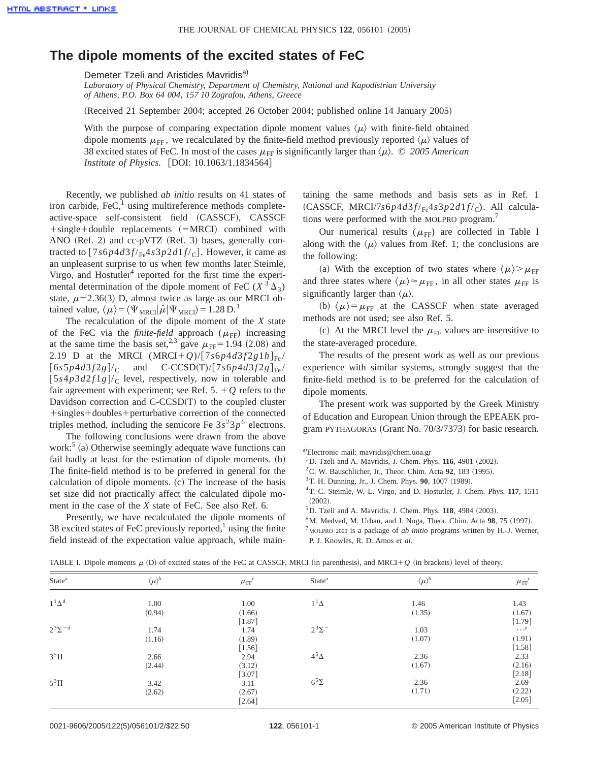## **The dipole moments of the excited states of FeC**

Demeter Tzeli and Aristides Mavridis<sup>a)</sup>

*Laboratory of Physical Chemistry, Department of Chemistry, National and Kapodistrian University of Athens, P.O. Box 64 004, 157 10 Zografou, Athens, Greece*

(Received 21 September 2004; accepted 26 October 2004; published online 14 January 2005)

With the purpose of comparing expectation dipole moment values  $\langle \mu \rangle$  with finite-field obtained dipole moments  $\mu_{\text{FF}}$ , we recalculated by the finite-field method previously reported  $\langle \mu \rangle$  values of 38 excited states of FeC. In most of the cases  $\mu_{\text{FF}}$  is significantly larger than  $\langle \mu \rangle$ . © *2005 American Institute of Physics.* [DOI: 10.1063/1.1834564]

Recently, we published *ab initio* results on 41 states of iron carbide,  $\text{FeC}$ , using multireference methods completeactive-space self-consistent field (CASSCF), CASSCF  $+$ single+double replacements  $(=MRCI)$  combined with ANO (Ref. 2) and cc-pVTZ (Ref. 3) bases, generally contracted to  $\left[7s6p4d3f/\text{Fe}4s3p2d1f/\text{c}\right]$ . However, it came as an unpleasent surprise to us when few months later Steimle, Virgo, and Hostutler<sup>4</sup> reported for the first time the experimental determination of the dipole moment of FeC  $(X^3 \Delta_3)$ state,  $\mu$ =2.36(3) D, almost twice as large as our MRCI obtained value,  $\langle \mu \rangle = \langle \Psi_{MRCI} | \hat{\mu} | \Psi_{MRCI} \rangle = 1.28 \text{ D.}^1$ 

The recalculation of the dipole moment of the *X* state of the FeC via the *finite-field* approach  $(\mu_{FF})$  increasing at the same time the basis set,<sup>2,3</sup> gave  $\mu$ <sub>FF</sub>=1.94 (2.08) and 2.19 D at the MRCI  $(MRCI+Q)/[7s6p4d3f2g1h]_{Fe}$  $[6s5p4d3f2g]/c$  and  $C-CCSD(T)/[7s6p4d3f2g]_{Fe}/$  $[5s4p3d2f1g]/c$  level, respectively, now in tolerable and fair agreement with experiment; see Ref. 5.  $+Q$  refers to the Davidson correction and  $C$ - $CCSD(T)$  to the coupled cluster +singles+doubles+perturbative correction of the connected triples method, including the semicore Fe  $3s^23p^6$  electrons.

The following conclusions were drawn from the above work: $5$  (a) Otherwise seemingly adequate wave functions can fail badly at least for the estimation of dipole moments.  $(b)$ The finite-field method is to be preferred in general for the calculation of dipole moments.  $(c)$  The increase of the basis set size did not practically affect the calculated dipole moment in the case of the *X* state of FeC. See also Ref. 6.

Presently, we have recalculated the dipole moments of 38 excited states of FeC previously reported, $\frac{1}{1}$  using the finite field instead of the expectation value approach, while maintaining the same methods and basis sets as in Ref. 1 (CASSCF, MRCI/7 $s6p4d3f_{\text{Fe}}4s3p2d1f_{\text{C}}$ ). All calculations were performed with the MOLPRO program.<sup>7</sup>

Our numerical results  $(\mu_{FF})$  are collected in Table I along with the  $\langle \mu \rangle$  values from Ref. 1; the conclusions are the following:

(a) With the exception of two states where  $\langle \mu \rangle > \mu$ <sub>FF</sub> and three states where  $\langle \mu \rangle \approx \mu_{\text{FF}}$ , in all other states  $\mu_{\text{FF}}$  is significantly larger than  $\langle \mu \rangle$ .

(b)  $\langle \mu \rangle = \mu_{FF}$  at the CASSCF when state averaged methods are not used; see also Ref. 5.

(c) At the MRCI level the  $\mu$ <sub>FF</sub> values are insensitive to the state-averaged procedure.

The results of the present work as well as our previous experience with similar systems, strongly suggest that the finite-field method is to be preferred for the calculation of dipole moments.

The present work was supported by the Greek Ministry of Education and European Union through the EPEAEK program PYTHAGORAS (Grant No. 70/3/7373) for basic research.

a)Electronic mail: mavridis@chem.uoa.gr

- $1$ D. Tzeli and A. Mavridis, J. Chem. Phys.  $116$ , 4901 (2002).
- ${}^{2}$ C. W. Bauschlicher, Jr., Theor. Chim. Acta **92**, 183 (1995).
- <sup>3</sup>T. H. Dunning, Jr., J. Chem. Phys. **90**, 1007 (1989).
- 4T. C. Steimle, W. L. Virgo, and D. Hostutler, J. Chem. Phys. **117**, 1511  $(2002)$ .
- <sup>5</sup>D. Tzeli and A. Mavridis, J. Chem. Phys. **118**, 4984 (2003).
- $6<sup>6</sup>M$ . Medved, M. Urban, and J. Noga, Theor. Chim. Acta **98**, 75 (1997).

<sup>7</sup> MOLPRO 2000 is a package of *ab initio* programs written by H.-J. Werner, P. J. Knowles, R. D. Amos *et al.*

| State <sup>a</sup> | $\langle \mu \rangle^{\!b}$ | $\mu_\text{FF}^{\phantom{0}\mathrm{c}}$ | State <sup>a</sup> | $\langle \mu \rangle^{\scriptscriptstyle\mathrm{b}}$ | $\mu_{\text{FF}}^{\text{c}}$                 |
|--------------------|-----------------------------|-----------------------------------------|--------------------|------------------------------------------------------|----------------------------------------------|
| $1^1\Delta^d$      | 1.00                        | 1.00                                    | $1^1\Delta$        | 1.46                                                 |                                              |
|                    | (0.94)                      | (1.66)                                  |                    | (1.35)                                               | 1.43<br>(1.67)                               |
|                    |                             | $[1.87]$                                |                    |                                                      | $[1.79]$                                     |
| $2^3\Sigma^{-d}$   | 1.74                        | 1.74                                    | $2^3\Sigma^-$      | 1.03                                                 | $\dots$ .                                    |
|                    | (1.16)                      | (1.89)                                  |                    | (1.07)                                               | (1.91)                                       |
|                    |                             | $[1.56]$                                |                    |                                                      | $\begin{bmatrix} 1.58 \\ 2.33 \end{bmatrix}$ |
| $35\Pi$            | 2.66                        | 2.94                                    | $4^5\Delta$        | 2.36                                                 |                                              |
|                    | (2.44)                      | (3.12)                                  |                    | (1.67)                                               | (2.16)                                       |
|                    |                             | $[3.07]$                                |                    |                                                      | $[2.18]$                                     |
| $5^3\Pi$           | 3.42                        | 3.11                                    | $6^5\Sigma^-$      | 2.36                                                 | 2.69                                         |
|                    | (2.62)                      | (2.67)                                  |                    | (1.71)                                               | (2.22)                                       |
|                    |                             | $[2.64]$                                |                    |                                                      | $[2.05]$                                     |

TABLE I. Dipole moments  $\mu$  (D) of excited states of the FeC at CASSCF, MRCI (in parenthesis), and MRCI+ $Q$  (in brackets) level of theory.